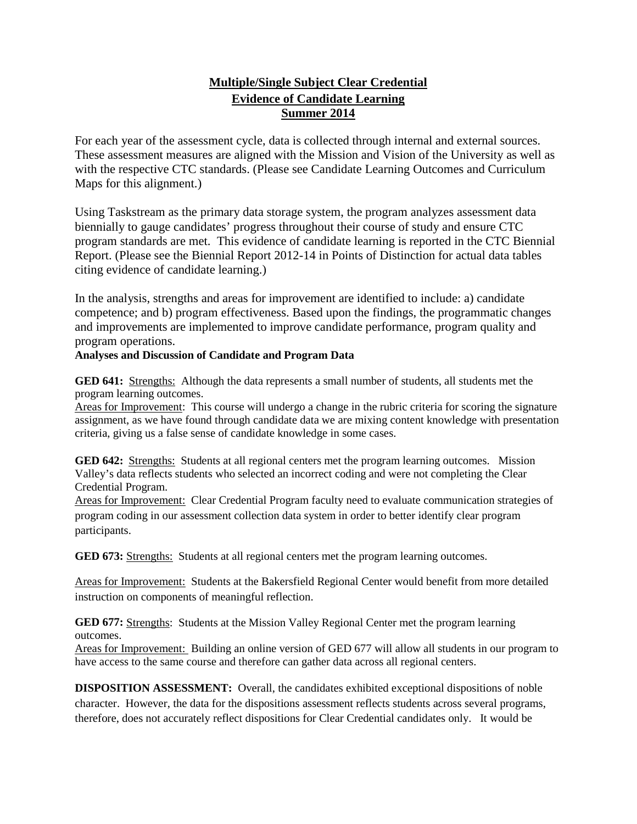## **Multiple/Single Subject Clear Credential Evidence of Candidate Learning Summer 2014**

For each year of the assessment cycle, data is collected through internal and external sources. These assessment measures are aligned with the Mission and Vision of the University as well as with the respective CTC standards. (Please see Candidate Learning Outcomes and Curriculum Maps for this alignment.)

Using Taskstream as the primary data storage system, the program analyzes assessment data biennially to gauge candidates' progress throughout their course of study and ensure CTC program standards are met. This evidence of candidate learning is reported in the CTC Biennial Report. (Please see the Biennial Report 2012-14 in Points of Distinction for actual data tables citing evidence of candidate learning.)

In the analysis, strengths and areas for improvement are identified to include: a) candidate competence; and b) program effectiveness. Based upon the findings, the programmatic changes and improvements are implemented to improve candidate performance, program quality and program operations.

## **Analyses and Discussion of Candidate and Program Data**

**GED 641:** Strengths: Although the data represents a small number of students, all students met the program learning outcomes.

Areas for Improvement: This course will undergo a change in the rubric criteria for scoring the signature assignment, as we have found through candidate data we are mixing content knowledge with presentation criteria, giving us a false sense of candidate knowledge in some cases.

**GED 642:** Strengths: Students at all regional centers met the program learning outcomes. Mission Valley's data reflects students who selected an incorrect coding and were not completing the Clear Credential Program.

Areas for Improvement: Clear Credential Program faculty need to evaluate communication strategies of program coding in our assessment collection data system in order to better identify clear program participants.

**GED 673:** Strengths: Students at all regional centers met the program learning outcomes.

Areas for Improvement: Students at the Bakersfield Regional Center would benefit from more detailed instruction on components of meaningful reflection.

**GED 677:** Strengths: Students at the Mission Valley Regional Center met the program learning outcomes.

Areas for Improvement: Building an online version of GED 677 will allow all students in our program to have access to the same course and therefore can gather data across all regional centers.

**DISPOSITION ASSESSMENT:** Overall, the candidates exhibited exceptional dispositions of noble character. However, the data for the dispositions assessment reflects students across several programs, therefore, does not accurately reflect dispositions for Clear Credential candidates only. It would be